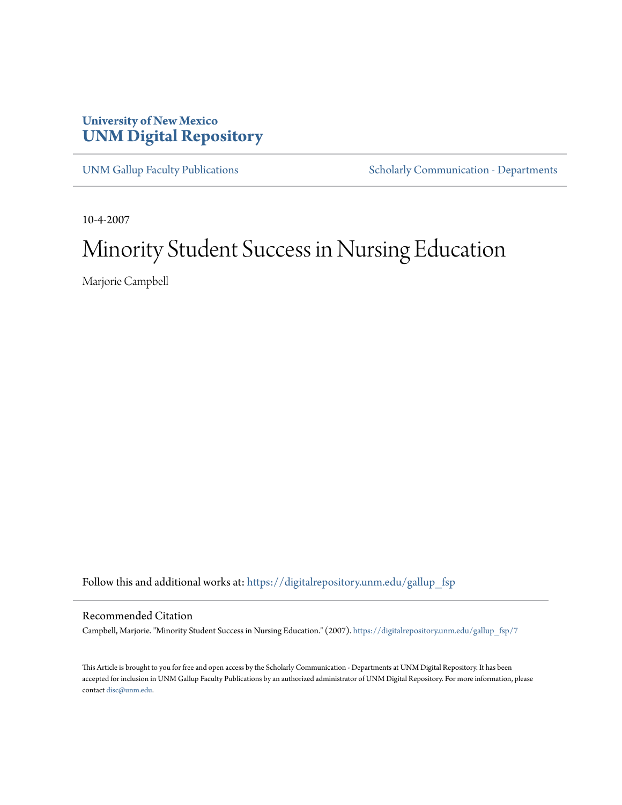# **University of New Mexico [UNM Digital Repository](https://digitalrepository.unm.edu?utm_source=digitalrepository.unm.edu%2Fgallup_fsp%2F7&utm_medium=PDF&utm_campaign=PDFCoverPages)**

[UNM Gallup Faculty Publications](https://digitalrepository.unm.edu/gallup_fsp?utm_source=digitalrepository.unm.edu%2Fgallup_fsp%2F7&utm_medium=PDF&utm_campaign=PDFCoverPages) [Scholarly Communication - Departments](https://digitalrepository.unm.edu/departments?utm_source=digitalrepository.unm.edu%2Fgallup_fsp%2F7&utm_medium=PDF&utm_campaign=PDFCoverPages)

10-4-2007

# Minority Student Success in Nursing Education

Marjorie Campbell

Follow this and additional works at: [https://digitalrepository.unm.edu/gallup\\_fsp](https://digitalrepository.unm.edu/gallup_fsp?utm_source=digitalrepository.unm.edu%2Fgallup_fsp%2F7&utm_medium=PDF&utm_campaign=PDFCoverPages)

#### Recommended Citation

Campbell, Marjorie. "Minority Student Success in Nursing Education." (2007). [https://digitalrepository.unm.edu/gallup\\_fsp/7](https://digitalrepository.unm.edu/gallup_fsp/7?utm_source=digitalrepository.unm.edu%2Fgallup_fsp%2F7&utm_medium=PDF&utm_campaign=PDFCoverPages)

This Article is brought to you for free and open access by the Scholarly Communication - Departments at UNM Digital Repository. It has been accepted for inclusion in UNM Gallup Faculty Publications by an authorized administrator of UNM Digital Repository. For more information, please contact [disc@unm.edu.](mailto:disc@unm.edu)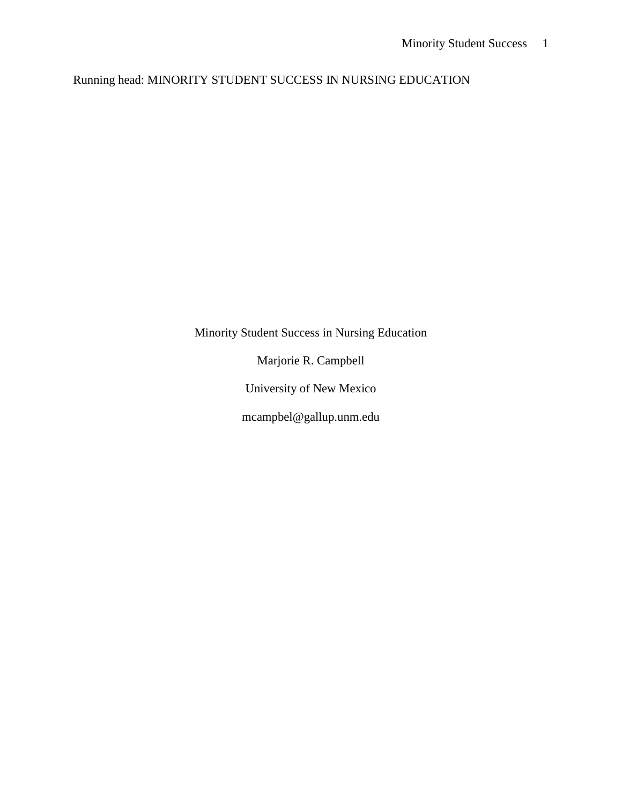Running head: MINORITY STUDENT SUCCESS IN NURSING EDUCATION

Minority Student Success in Nursing Education

Marjorie R. Campbell

University of New Mexico

mcampbel@gallup.unm.edu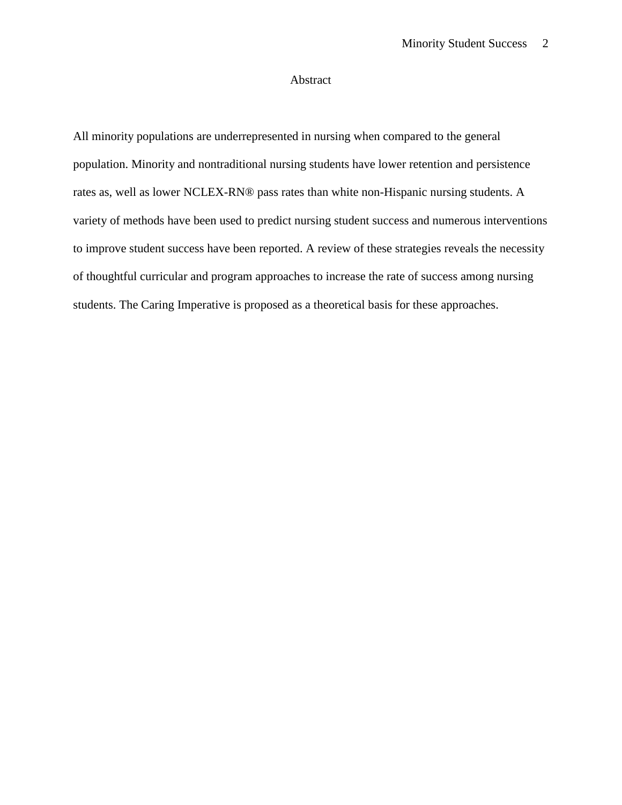# Abstract

All minority populations are underrepresented in nursing when compared to the general population. Minority and nontraditional nursing students have lower retention and persistence rates as, well as lower NCLEX-RN® pass rates than white non-Hispanic nursing students. A variety of methods have been used to predict nursing student success and numerous interventions to improve student success have been reported. A review of these strategies reveals the necessity of thoughtful curricular and program approaches to increase the rate of success among nursing students. The Caring Imperative is proposed as a theoretical basis for these approaches.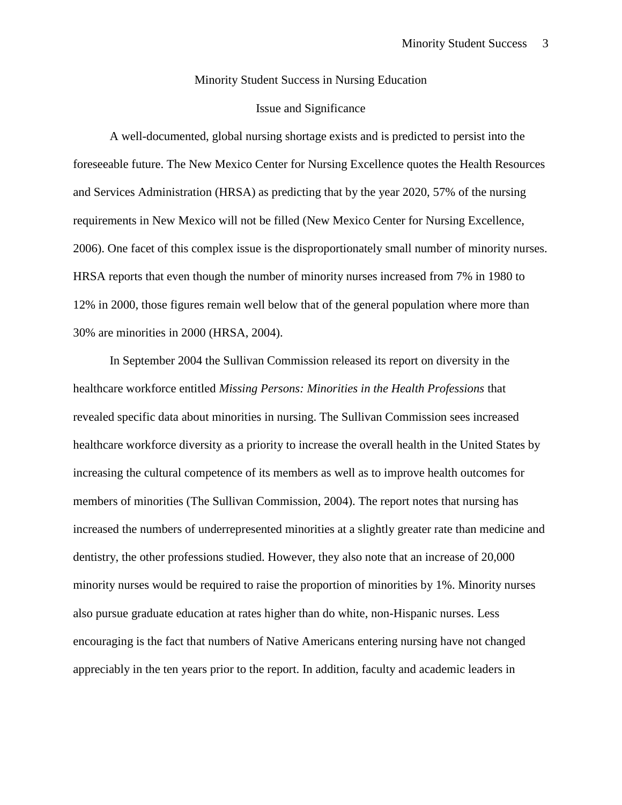#### Minority Student Success in Nursing Education

## Issue and Significance

A well-documented, global nursing shortage exists and is predicted to persist into the foreseeable future. The New Mexico Center for Nursing Excellence quotes the Health Resources and Services Administration (HRSA) as predicting that by the year 2020, 57% of the nursing requirements in New Mexico will not be filled (New Mexico Center for Nursing Excellence, 2006). One facet of this complex issue is the disproportionately small number of minority nurses. HRSA reports that even though the number of minority nurses increased from 7% in 1980 to 12% in 2000, those figures remain well below that of the general population where more than 30% are minorities in 2000 (HRSA, 2004).

In September 2004 the Sullivan Commission released its report on diversity in the healthcare workforce entitled *Missing Persons: Minorities in the Health Professions* that revealed specific data about minorities in nursing. The Sullivan Commission sees increased healthcare workforce diversity as a priority to increase the overall health in the United States by increasing the cultural competence of its members as well as to improve health outcomes for members of minorities (The Sullivan Commission, 2004). The report notes that nursing has increased the numbers of underrepresented minorities at a slightly greater rate than medicine and dentistry, the other professions studied. However, they also note that an increase of 20,000 minority nurses would be required to raise the proportion of minorities by 1%. Minority nurses also pursue graduate education at rates higher than do white, non-Hispanic nurses. Less encouraging is the fact that numbers of Native Americans entering nursing have not changed appreciably in the ten years prior to the report. In addition, faculty and academic leaders in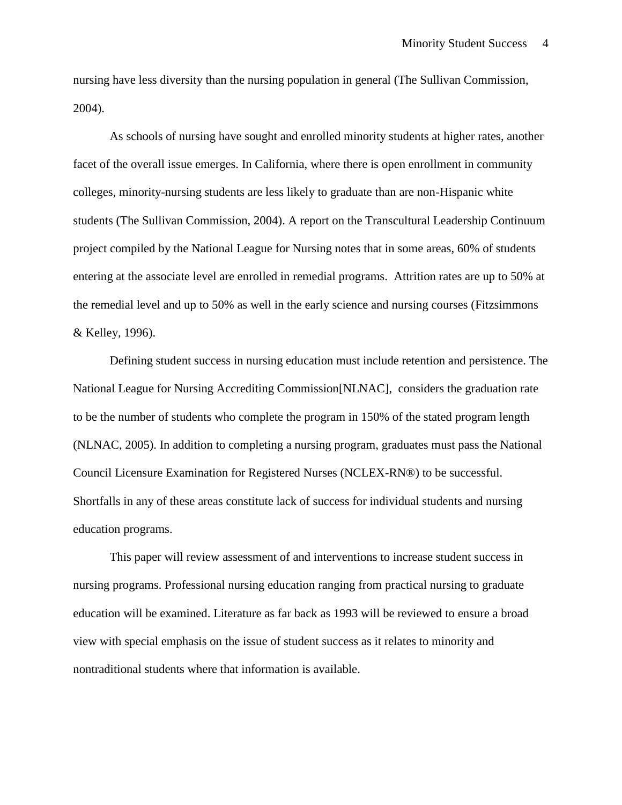nursing have less diversity than the nursing population in general (The Sullivan Commission, 2004).

As schools of nursing have sought and enrolled minority students at higher rates, another facet of the overall issue emerges. In California, where there is open enrollment in community colleges, minority-nursing students are less likely to graduate than are non-Hispanic white students (The Sullivan Commission, 2004). A report on the Transcultural Leadership Continuum project compiled by the National League for Nursing notes that in some areas, 60% of students entering at the associate level are enrolled in remedial programs. Attrition rates are up to 50% at the remedial level and up to 50% as well in the early science and nursing courses (Fitzsimmons & Kelley, 1996).

Defining student success in nursing education must include retention and persistence. The National League for Nursing Accrediting Commission[NLNAC], considers the graduation rate to be the number of students who complete the program in 150% of the stated program length (NLNAC, 2005). In addition to completing a nursing program, graduates must pass the National Council Licensure Examination for Registered Nurses (NCLEX-RN®) to be successful. Shortfalls in any of these areas constitute lack of success for individual students and nursing education programs.

This paper will review assessment of and interventions to increase student success in nursing programs. Professional nursing education ranging from practical nursing to graduate education will be examined. Literature as far back as 1993 will be reviewed to ensure a broad view with special emphasis on the issue of student success as it relates to minority and nontraditional students where that information is available.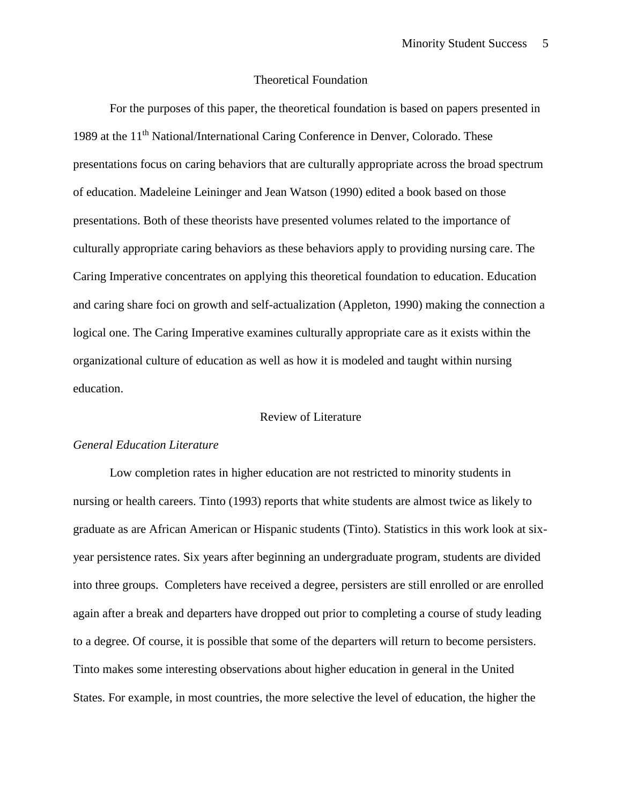## Theoretical Foundation

For the purposes of this paper, the theoretical foundation is based on papers presented in 1989 at the 11th National/International Caring Conference in Denver, Colorado. These presentations focus on caring behaviors that are culturally appropriate across the broad spectrum of education. Madeleine Leininger and Jean Watson (1990) edited a book based on those presentations. Both of these theorists have presented volumes related to the importance of culturally appropriate caring behaviors as these behaviors apply to providing nursing care. The Caring Imperative concentrates on applying this theoretical foundation to education. Education and caring share foci on growth and self-actualization (Appleton, 1990) making the connection a logical one. The Caring Imperative examines culturally appropriate care as it exists within the organizational culture of education as well as how it is modeled and taught within nursing education.

#### Review of Literature

#### *General Education Literature*

Low completion rates in higher education are not restricted to minority students in nursing or health careers. Tinto (1993) reports that white students are almost twice as likely to graduate as are African American or Hispanic students (Tinto). Statistics in this work look at sixyear persistence rates. Six years after beginning an undergraduate program, students are divided into three groups. Completers have received a degree, persisters are still enrolled or are enrolled again after a break and departers have dropped out prior to completing a course of study leading to a degree. Of course, it is possible that some of the departers will return to become persisters. Tinto makes some interesting observations about higher education in general in the United States. For example, in most countries, the more selective the level of education, the higher the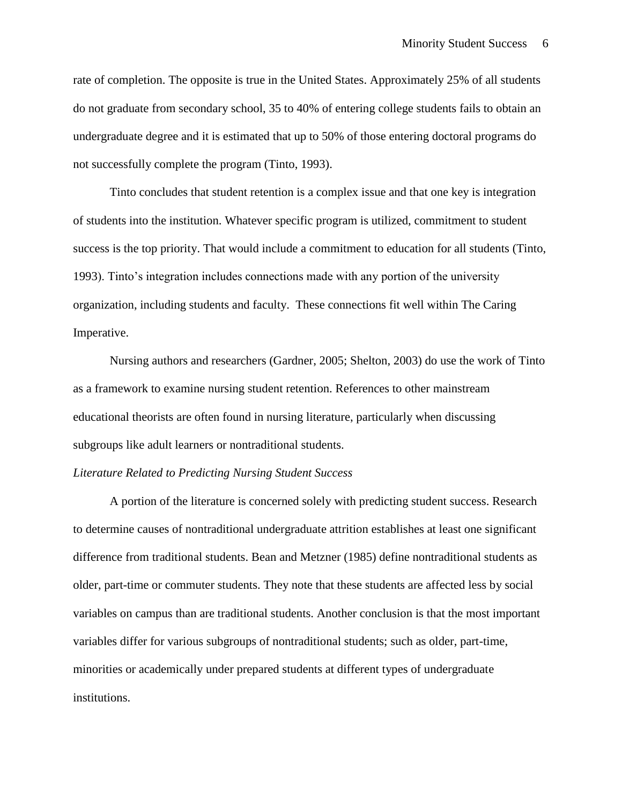rate of completion. The opposite is true in the United States. Approximately 25% of all students do not graduate from secondary school, 35 to 40% of entering college students fails to obtain an undergraduate degree and it is estimated that up to 50% of those entering doctoral programs do not successfully complete the program (Tinto, 1993).

Tinto concludes that student retention is a complex issue and that one key is integration of students into the institution. Whatever specific program is utilized, commitment to student success is the top priority. That would include a commitment to education for all students (Tinto, 1993). Tinto's integration includes connections made with any portion of the university organization, including students and faculty. These connections fit well within The Caring Imperative.

Nursing authors and researchers (Gardner, 2005; Shelton, 2003) do use the work of Tinto as a framework to examine nursing student retention. References to other mainstream educational theorists are often found in nursing literature, particularly when discussing subgroups like adult learners or nontraditional students.

#### *Literature Related to Predicting Nursing Student Success*

A portion of the literature is concerned solely with predicting student success. Research to determine causes of nontraditional undergraduate attrition establishes at least one significant difference from traditional students. Bean and Metzner (1985) define nontraditional students as older, part-time or commuter students. They note that these students are affected less by social variables on campus than are traditional students. Another conclusion is that the most important variables differ for various subgroups of nontraditional students; such as older, part-time, minorities or academically under prepared students at different types of undergraduate institutions.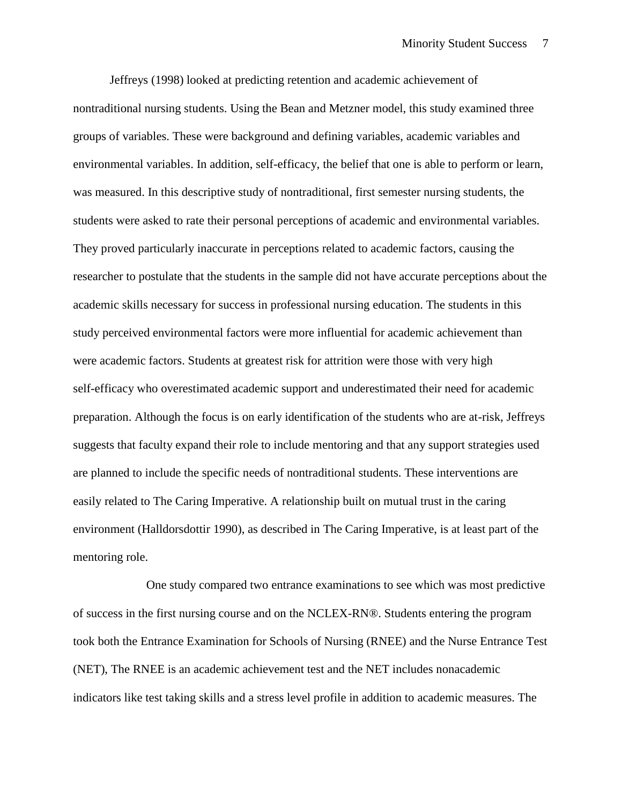Jeffreys (1998) looked at predicting retention and academic achievement of nontraditional nursing students. Using the Bean and Metzner model, this study examined three groups of variables. These were background and defining variables, academic variables and environmental variables. In addition, self-efficacy, the belief that one is able to perform or learn, was measured. In this descriptive study of nontraditional, first semester nursing students, the students were asked to rate their personal perceptions of academic and environmental variables. They proved particularly inaccurate in perceptions related to academic factors, causing the researcher to postulate that the students in the sample did not have accurate perceptions about the academic skills necessary for success in professional nursing education. The students in this study perceived environmental factors were more influential for academic achievement than were academic factors. Students at greatest risk for attrition were those with very high self-efficacy who overestimated academic support and underestimated their need for academic preparation. Although the focus is on early identification of the students who are at-risk, Jeffreys suggests that faculty expand their role to include mentoring and that any support strategies used are planned to include the specific needs of nontraditional students. These interventions are easily related to The Caring Imperative. A relationship built on mutual trust in the caring environment (Halldorsdottir 1990), as described in The Caring Imperative, is at least part of the mentoring role.

One study compared two entrance examinations to see which was most predictive of success in the first nursing course and on the NCLEX-RN®. Students entering the program took both the Entrance Examination for Schools of Nursing (RNEE) and the Nurse Entrance Test (NET), The RNEE is an academic achievement test and the NET includes nonacademic indicators like test taking skills and a stress level profile in addition to academic measures. The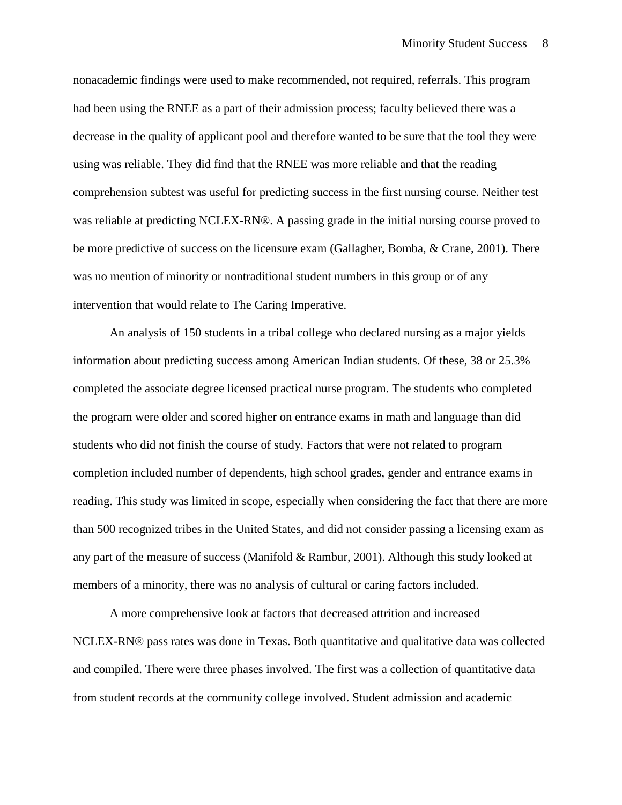nonacademic findings were used to make recommended, not required, referrals. This program had been using the RNEE as a part of their admission process; faculty believed there was a decrease in the quality of applicant pool and therefore wanted to be sure that the tool they were using was reliable. They did find that the RNEE was more reliable and that the reading comprehension subtest was useful for predicting success in the first nursing course. Neither test was reliable at predicting NCLEX-RN®. A passing grade in the initial nursing course proved to be more predictive of success on the licensure exam (Gallagher, Bomba, & Crane, 2001). There was no mention of minority or nontraditional student numbers in this group or of any intervention that would relate to The Caring Imperative.

An analysis of 150 students in a tribal college who declared nursing as a major yields information about predicting success among American Indian students. Of these, 38 or 25.3% completed the associate degree licensed practical nurse program. The students who completed the program were older and scored higher on entrance exams in math and language than did students who did not finish the course of study. Factors that were not related to program completion included number of dependents, high school grades, gender and entrance exams in reading. This study was limited in scope, especially when considering the fact that there are more than 500 recognized tribes in the United States, and did not consider passing a licensing exam as any part of the measure of success (Manifold  $\&$  Rambur, 2001). Although this study looked at members of a minority, there was no analysis of cultural or caring factors included.

A more comprehensive look at factors that decreased attrition and increased NCLEX-RN® pass rates was done in Texas. Both quantitative and qualitative data was collected and compiled. There were three phases involved. The first was a collection of quantitative data from student records at the community college involved. Student admission and academic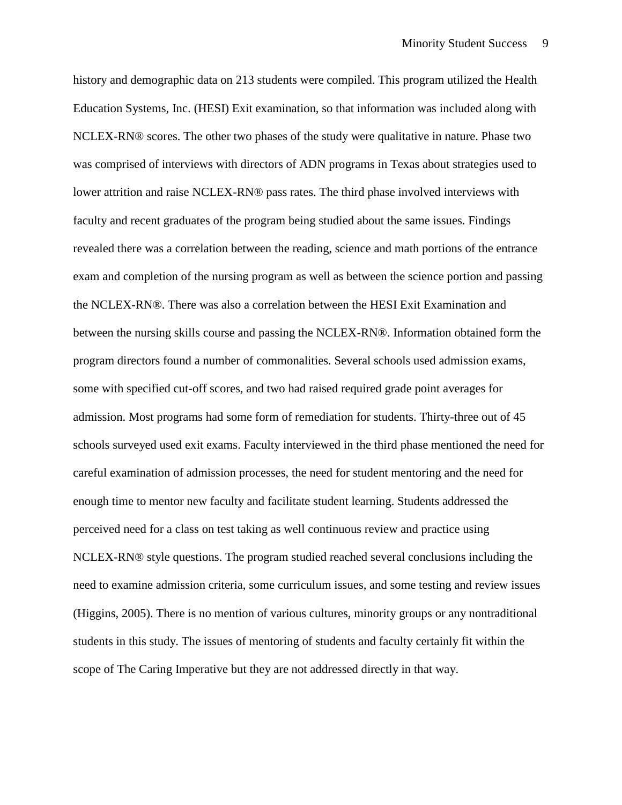history and demographic data on 213 students were compiled. This program utilized the Health Education Systems, Inc. (HESI) Exit examination, so that information was included along with NCLEX-RN® scores. The other two phases of the study were qualitative in nature. Phase two was comprised of interviews with directors of ADN programs in Texas about strategies used to lower attrition and raise NCLEX-RN® pass rates. The third phase involved interviews with faculty and recent graduates of the program being studied about the same issues. Findings revealed there was a correlation between the reading, science and math portions of the entrance exam and completion of the nursing program as well as between the science portion and passing the NCLEX-RN®. There was also a correlation between the HESI Exit Examination and between the nursing skills course and passing the NCLEX-RN®. Information obtained form the program directors found a number of commonalities. Several schools used admission exams, some with specified cut-off scores, and two had raised required grade point averages for admission. Most programs had some form of remediation for students. Thirty-three out of 45 schools surveyed used exit exams. Faculty interviewed in the third phase mentioned the need for careful examination of admission processes, the need for student mentoring and the need for enough time to mentor new faculty and facilitate student learning. Students addressed the perceived need for a class on test taking as well continuous review and practice using NCLEX-RN® style questions. The program studied reached several conclusions including the need to examine admission criteria, some curriculum issues, and some testing and review issues (Higgins, 2005). There is no mention of various cultures, minority groups or any nontraditional students in this study. The issues of mentoring of students and faculty certainly fit within the scope of The Caring Imperative but they are not addressed directly in that way.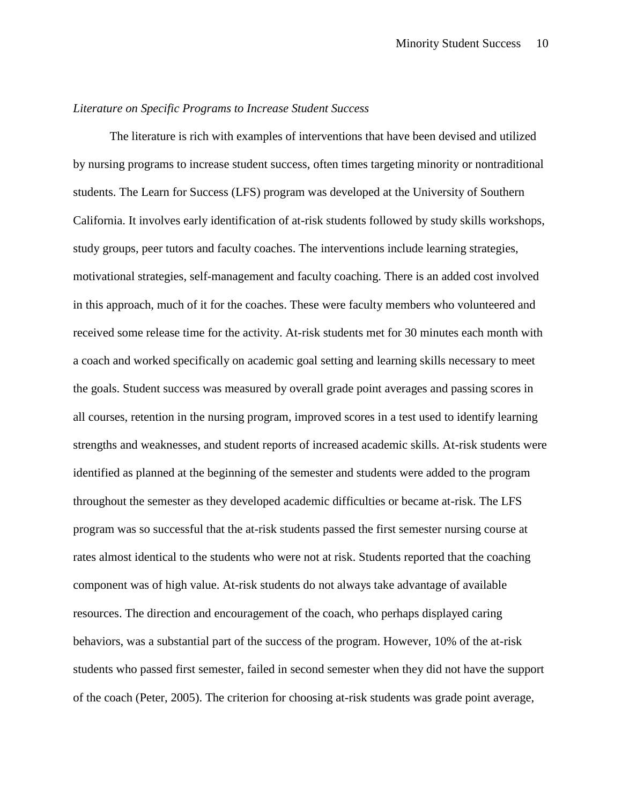## *Literature on Specific Programs to Increase Student Success*

The literature is rich with examples of interventions that have been devised and utilized by nursing programs to increase student success, often times targeting minority or nontraditional students. The Learn for Success (LFS) program was developed at the University of Southern California. It involves early identification of at-risk students followed by study skills workshops, study groups, peer tutors and faculty coaches. The interventions include learning strategies, motivational strategies, self-management and faculty coaching. There is an added cost involved in this approach, much of it for the coaches. These were faculty members who volunteered and received some release time for the activity. At-risk students met for 30 minutes each month with a coach and worked specifically on academic goal setting and learning skills necessary to meet the goals. Student success was measured by overall grade point averages and passing scores in all courses, retention in the nursing program, improved scores in a test used to identify learning strengths and weaknesses, and student reports of increased academic skills. At-risk students were identified as planned at the beginning of the semester and students were added to the program throughout the semester as they developed academic difficulties or became at-risk. The LFS program was so successful that the at-risk students passed the first semester nursing course at rates almost identical to the students who were not at risk. Students reported that the coaching component was of high value. At-risk students do not always take advantage of available resources. The direction and encouragement of the coach, who perhaps displayed caring behaviors, was a substantial part of the success of the program. However, 10% of the at-risk students who passed first semester, failed in second semester when they did not have the support of the coach (Peter, 2005). The criterion for choosing at-risk students was grade point average,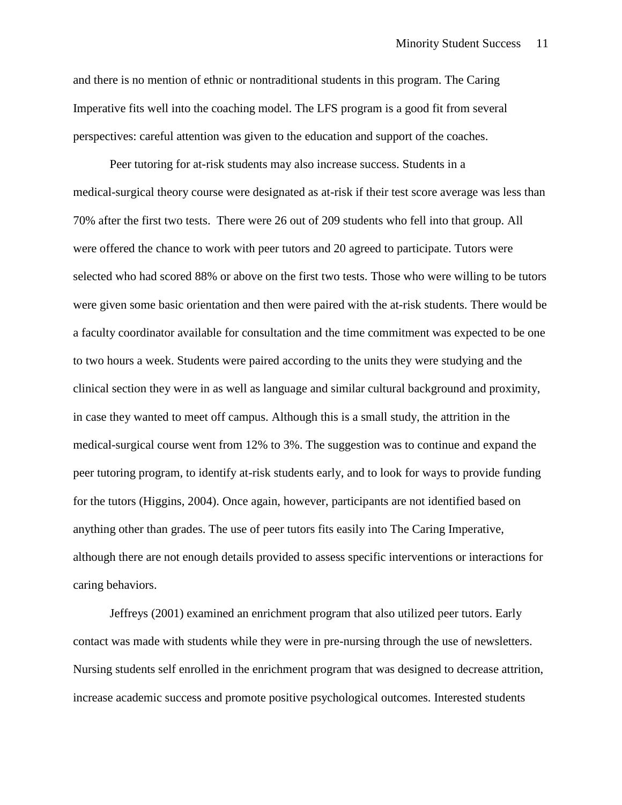and there is no mention of ethnic or nontraditional students in this program. The Caring Imperative fits well into the coaching model. The LFS program is a good fit from several perspectives: careful attention was given to the education and support of the coaches.

Peer tutoring for at-risk students may also increase success. Students in a medical-surgical theory course were designated as at-risk if their test score average was less than 70% after the first two tests. There were 26 out of 209 students who fell into that group. All were offered the chance to work with peer tutors and 20 agreed to participate. Tutors were selected who had scored 88% or above on the first two tests. Those who were willing to be tutors were given some basic orientation and then were paired with the at-risk students. There would be a faculty coordinator available for consultation and the time commitment was expected to be one to two hours a week. Students were paired according to the units they were studying and the clinical section they were in as well as language and similar cultural background and proximity, in case they wanted to meet off campus. Although this is a small study, the attrition in the medical-surgical course went from 12% to 3%. The suggestion was to continue and expand the peer tutoring program, to identify at-risk students early, and to look for ways to provide funding for the tutors (Higgins, 2004). Once again, however, participants are not identified based on anything other than grades. The use of peer tutors fits easily into The Caring Imperative, although there are not enough details provided to assess specific interventions or interactions for caring behaviors.

Jeffreys (2001) examined an enrichment program that also utilized peer tutors. Early contact was made with students while they were in pre-nursing through the use of newsletters. Nursing students self enrolled in the enrichment program that was designed to decrease attrition, increase academic success and promote positive psychological outcomes. Interested students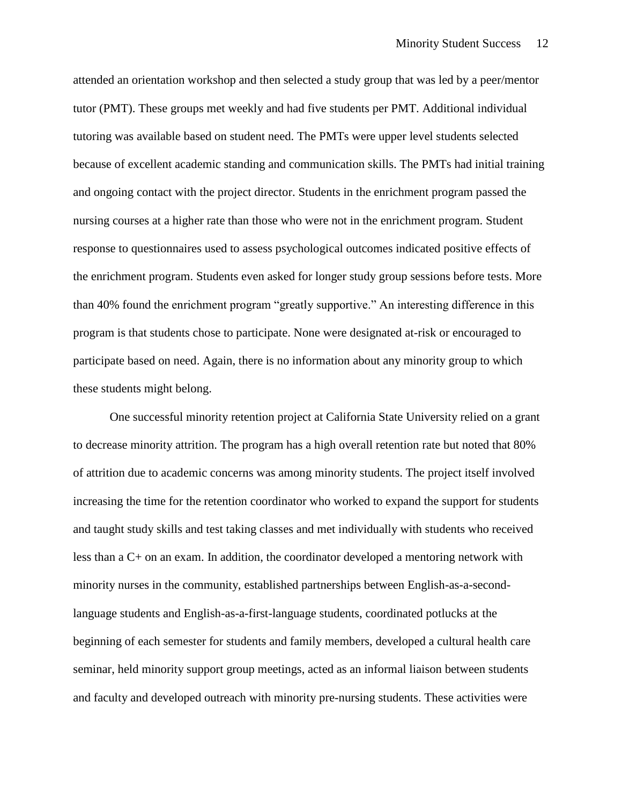attended an orientation workshop and then selected a study group that was led by a peer/mentor tutor (PMT). These groups met weekly and had five students per PMT. Additional individual tutoring was available based on student need. The PMTs were upper level students selected because of excellent academic standing and communication skills. The PMTs had initial training and ongoing contact with the project director. Students in the enrichment program passed the nursing courses at a higher rate than those who were not in the enrichment program. Student response to questionnaires used to assess psychological outcomes indicated positive effects of the enrichment program. Students even asked for longer study group sessions before tests. More than 40% found the enrichment program "greatly supportive." An interesting difference in this program is that students chose to participate. None were designated at-risk or encouraged to participate based on need. Again, there is no information about any minority group to which these students might belong.

One successful minority retention project at California State University relied on a grant to decrease minority attrition. The program has a high overall retention rate but noted that 80% of attrition due to academic concerns was among minority students. The project itself involved increasing the time for the retention coordinator who worked to expand the support for students and taught study skills and test taking classes and met individually with students who received less than a C+ on an exam. In addition, the coordinator developed a mentoring network with minority nurses in the community, established partnerships between English-as-a-secondlanguage students and English-as-a-first-language students, coordinated potlucks at the beginning of each semester for students and family members, developed a cultural health care seminar, held minority support group meetings, acted as an informal liaison between students and faculty and developed outreach with minority pre-nursing students. These activities were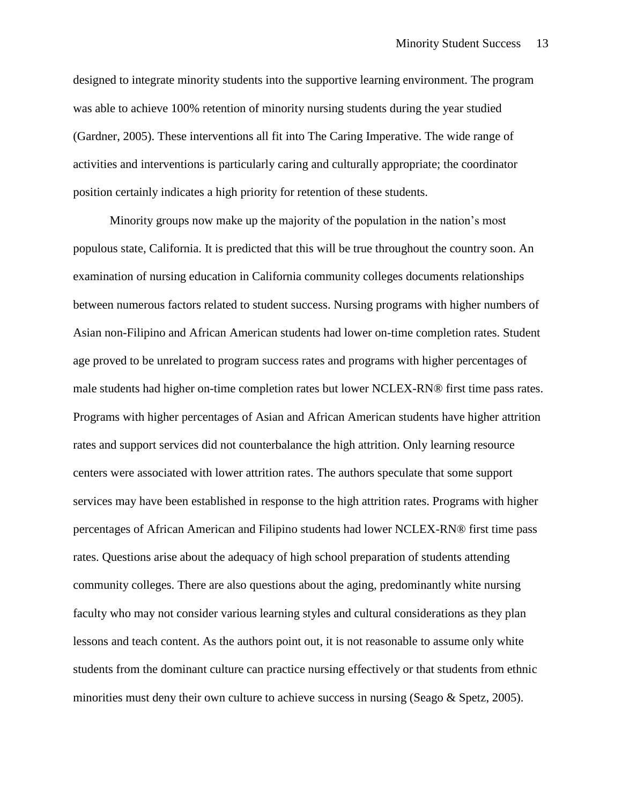designed to integrate minority students into the supportive learning environment. The program was able to achieve 100% retention of minority nursing students during the year studied (Gardner, 2005). These interventions all fit into The Caring Imperative. The wide range of activities and interventions is particularly caring and culturally appropriate; the coordinator position certainly indicates a high priority for retention of these students.

Minority groups now make up the majority of the population in the nation's most populous state, California. It is predicted that this will be true throughout the country soon. An examination of nursing education in California community colleges documents relationships between numerous factors related to student success. Nursing programs with higher numbers of Asian non-Filipino and African American students had lower on-time completion rates. Student age proved to be unrelated to program success rates and programs with higher percentages of male students had higher on-time completion rates but lower NCLEX-RN® first time pass rates. Programs with higher percentages of Asian and African American students have higher attrition rates and support services did not counterbalance the high attrition. Only learning resource centers were associated with lower attrition rates. The authors speculate that some support services may have been established in response to the high attrition rates. Programs with higher percentages of African American and Filipino students had lower NCLEX-RN® first time pass rates. Questions arise about the adequacy of high school preparation of students attending community colleges. There are also questions about the aging, predominantly white nursing faculty who may not consider various learning styles and cultural considerations as they plan lessons and teach content. As the authors point out, it is not reasonable to assume only white students from the dominant culture can practice nursing effectively or that students from ethnic minorities must deny their own culture to achieve success in nursing (Seago & Spetz, 2005).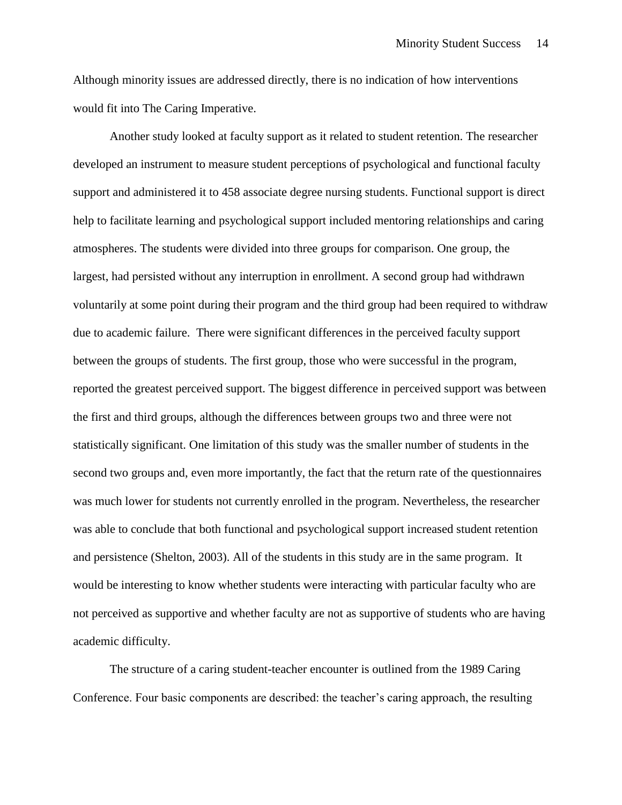Although minority issues are addressed directly, there is no indication of how interventions would fit into The Caring Imperative.

Another study looked at faculty support as it related to student retention. The researcher developed an instrument to measure student perceptions of psychological and functional faculty support and administered it to 458 associate degree nursing students. Functional support is direct help to facilitate learning and psychological support included mentoring relationships and caring atmospheres. The students were divided into three groups for comparison. One group, the largest, had persisted without any interruption in enrollment. A second group had withdrawn voluntarily at some point during their program and the third group had been required to withdraw due to academic failure. There were significant differences in the perceived faculty support between the groups of students. The first group, those who were successful in the program, reported the greatest perceived support. The biggest difference in perceived support was between the first and third groups, although the differences between groups two and three were not statistically significant. One limitation of this study was the smaller number of students in the second two groups and, even more importantly, the fact that the return rate of the questionnaires was much lower for students not currently enrolled in the program. Nevertheless, the researcher was able to conclude that both functional and psychological support increased student retention and persistence (Shelton, 2003). All of the students in this study are in the same program. It would be interesting to know whether students were interacting with particular faculty who are not perceived as supportive and whether faculty are not as supportive of students who are having academic difficulty.

The structure of a caring student-teacher encounter is outlined from the 1989 Caring Conference. Four basic components are described: the teacher's caring approach, the resulting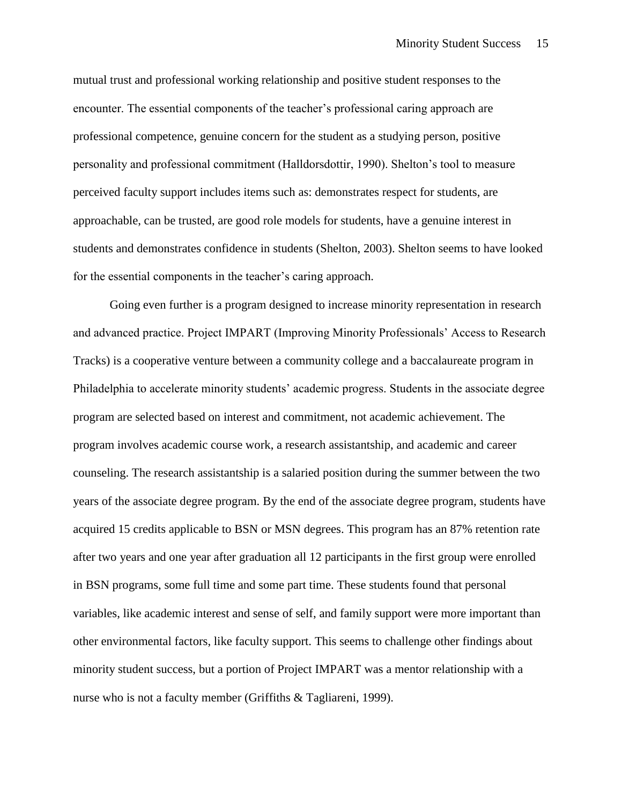mutual trust and professional working relationship and positive student responses to the encounter. The essential components of the teacher's professional caring approach are professional competence, genuine concern for the student as a studying person, positive personality and professional commitment (Halldorsdottir, 1990). Shelton's tool to measure perceived faculty support includes items such as: demonstrates respect for students, are approachable, can be trusted, are good role models for students, have a genuine interest in students and demonstrates confidence in students (Shelton, 2003). Shelton seems to have looked for the essential components in the teacher's caring approach.

Going even further is a program designed to increase minority representation in research and advanced practice. Project IMPART (Improving Minority Professionals' Access to Research Tracks) is a cooperative venture between a community college and a baccalaureate program in Philadelphia to accelerate minority students' academic progress. Students in the associate degree program are selected based on interest and commitment, not academic achievement. The program involves academic course work, a research assistantship, and academic and career counseling. The research assistantship is a salaried position during the summer between the two years of the associate degree program. By the end of the associate degree program, students have acquired 15 credits applicable to BSN or MSN degrees. This program has an 87% retention rate after two years and one year after graduation all 12 participants in the first group were enrolled in BSN programs, some full time and some part time. These students found that personal variables, like academic interest and sense of self, and family support were more important than other environmental factors, like faculty support. This seems to challenge other findings about minority student success, but a portion of Project IMPART was a mentor relationship with a nurse who is not a faculty member (Griffiths & Tagliareni, 1999).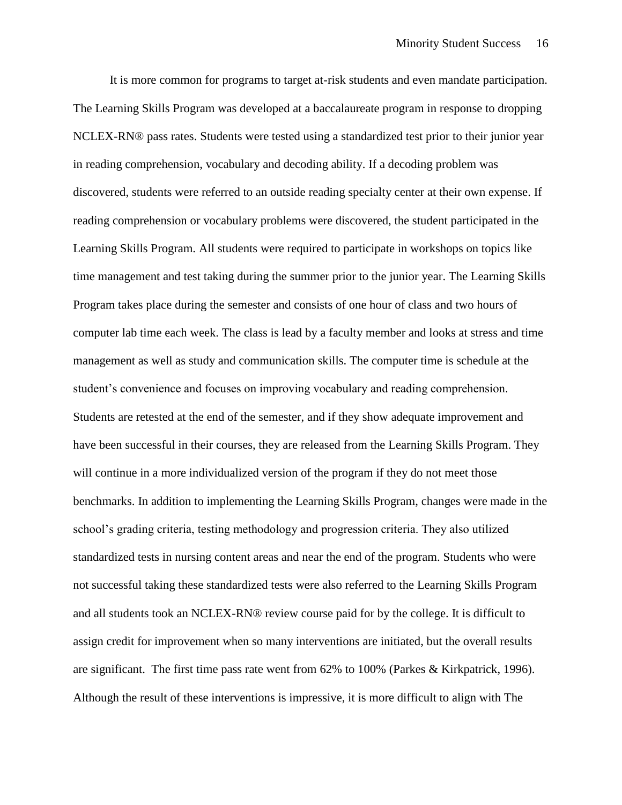It is more common for programs to target at-risk students and even mandate participation. The Learning Skills Program was developed at a baccalaureate program in response to dropping NCLEX-RN® pass rates. Students were tested using a standardized test prior to their junior year in reading comprehension, vocabulary and decoding ability. If a decoding problem was discovered, students were referred to an outside reading specialty center at their own expense. If reading comprehension or vocabulary problems were discovered, the student participated in the Learning Skills Program. All students were required to participate in workshops on topics like time management and test taking during the summer prior to the junior year. The Learning Skills Program takes place during the semester and consists of one hour of class and two hours of computer lab time each week. The class is lead by a faculty member and looks at stress and time management as well as study and communication skills. The computer time is schedule at the student's convenience and focuses on improving vocabulary and reading comprehension. Students are retested at the end of the semester, and if they show adequate improvement and have been successful in their courses, they are released from the Learning Skills Program. They will continue in a more individualized version of the program if they do not meet those benchmarks. In addition to implementing the Learning Skills Program, changes were made in the school's grading criteria, testing methodology and progression criteria. They also utilized standardized tests in nursing content areas and near the end of the program. Students who were not successful taking these standardized tests were also referred to the Learning Skills Program and all students took an NCLEX-RN® review course paid for by the college. It is difficult to assign credit for improvement when so many interventions are initiated, but the overall results are significant. The first time pass rate went from 62% to 100% (Parkes & Kirkpatrick, 1996). Although the result of these interventions is impressive, it is more difficult to align with The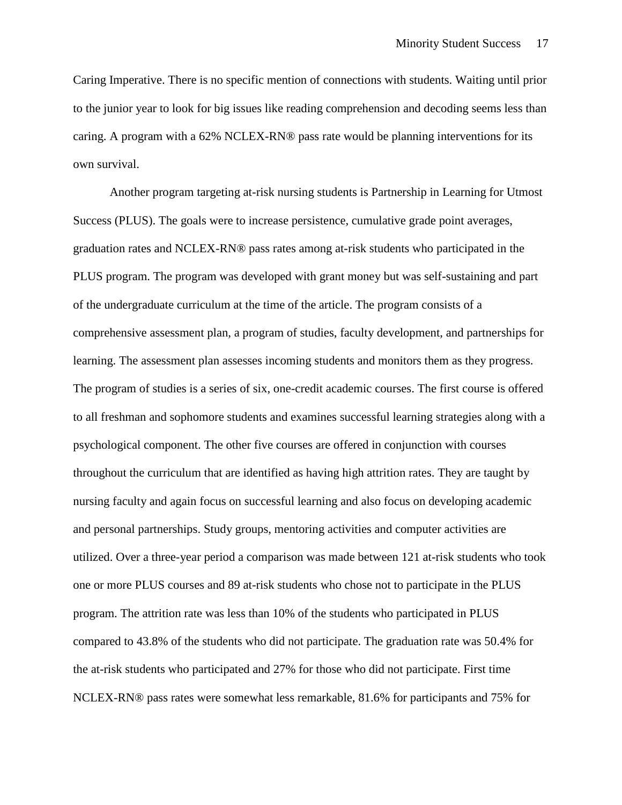Caring Imperative. There is no specific mention of connections with students. Waiting until prior to the junior year to look for big issues like reading comprehension and decoding seems less than caring. A program with a 62% NCLEX-RN® pass rate would be planning interventions for its own survival.

Another program targeting at-risk nursing students is Partnership in Learning for Utmost Success (PLUS). The goals were to increase persistence, cumulative grade point averages, graduation rates and NCLEX-RN® pass rates among at-risk students who participated in the PLUS program. The program was developed with grant money but was self-sustaining and part of the undergraduate curriculum at the time of the article. The program consists of a comprehensive assessment plan, a program of studies, faculty development, and partnerships for learning. The assessment plan assesses incoming students and monitors them as they progress. The program of studies is a series of six, one-credit academic courses. The first course is offered to all freshman and sophomore students and examines successful learning strategies along with a psychological component. The other five courses are offered in conjunction with courses throughout the curriculum that are identified as having high attrition rates. They are taught by nursing faculty and again focus on successful learning and also focus on developing academic and personal partnerships. Study groups, mentoring activities and computer activities are utilized. Over a three-year period a comparison was made between 121 at-risk students who took one or more PLUS courses and 89 at-risk students who chose not to participate in the PLUS program. The attrition rate was less than 10% of the students who participated in PLUS compared to 43.8% of the students who did not participate. The graduation rate was 50.4% for the at-risk students who participated and 27% for those who did not participate. First time NCLEX-RN® pass rates were somewhat less remarkable, 81.6% for participants and 75% for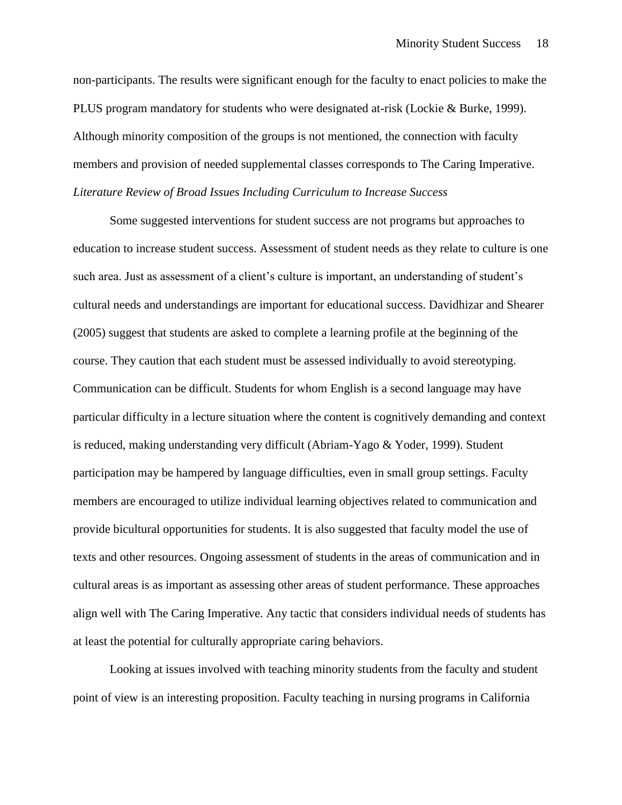non-participants. The results were significant enough for the faculty to enact policies to make the PLUS program mandatory for students who were designated at-risk (Lockie & Burke, 1999). Although minority composition of the groups is not mentioned, the connection with faculty members and provision of needed supplemental classes corresponds to The Caring Imperative. *Literature Review of Broad Issues Including Curriculum to Increase Success*

Some suggested interventions for student success are not programs but approaches to education to increase student success. Assessment of student needs as they relate to culture is one such area. Just as assessment of a client's culture is important, an understanding of student's cultural needs and understandings are important for educational success. Davidhizar and Shearer (2005) suggest that students are asked to complete a learning profile at the beginning of the course. They caution that each student must be assessed individually to avoid stereotyping. Communication can be difficult. Students for whom English is a second language may have particular difficulty in a lecture situation where the content is cognitively demanding and context is reduced, making understanding very difficult (Abriam-Yago & Yoder, 1999). Student participation may be hampered by language difficulties, even in small group settings. Faculty members are encouraged to utilize individual learning objectives related to communication and provide bicultural opportunities for students. It is also suggested that faculty model the use of texts and other resources. Ongoing assessment of students in the areas of communication and in cultural areas is as important as assessing other areas of student performance. These approaches align well with The Caring Imperative. Any tactic that considers individual needs of students has at least the potential for culturally appropriate caring behaviors.

Looking at issues involved with teaching minority students from the faculty and student point of view is an interesting proposition. Faculty teaching in nursing programs in California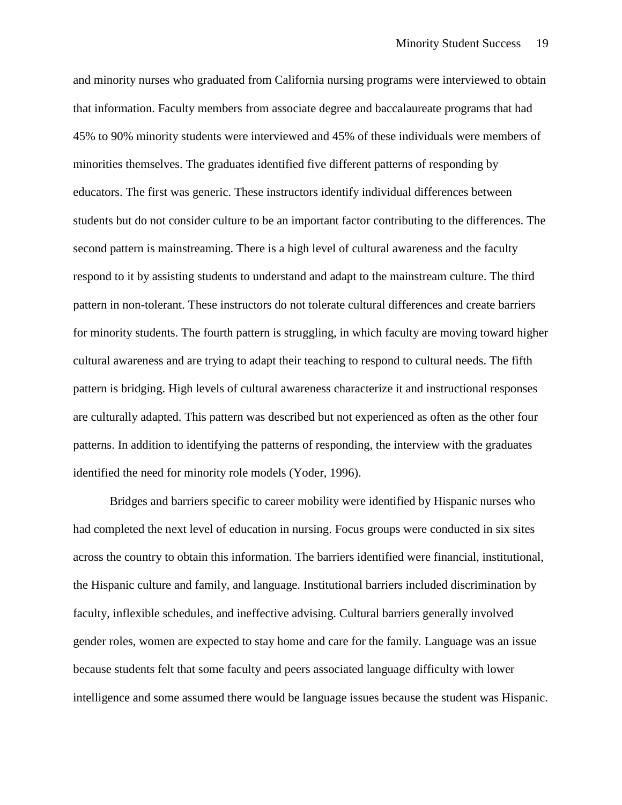and minority nurses who graduated from California nursing programs were interviewed to obtain that information. Faculty members from associate degree and baccalaureate programs that had 45% to 90% minority students were interviewed and 45% of these individuals were members of minorities themselves. The graduates identified five different patterns of responding by educators. The first was generic. These instructors identify individual differences between students but do not consider culture to be an important factor contributing to the differences. The second pattern is mainstreaming. There is a high level of cultural awareness and the faculty respond to it by assisting students to understand and adapt to the mainstream culture. The third pattern in non-tolerant. These instructors do not tolerate cultural differences and create barriers for minority students. The fourth pattern is struggling, in which faculty are moving toward higher cultural awareness and are trying to adapt their teaching to respond to cultural needs. The fifth pattern is bridging. High levels of cultural awareness characterize it and instructional responses are culturally adapted. This pattern was described but not experienced as often as the other four patterns. In addition to identifying the patterns of responding, the interview with the graduates identified the need for minority role models (Yoder, 1996).

Bridges and barriers specific to career mobility were identified by Hispanic nurses who had completed the next level of education in nursing. Focus groups were conducted in six sites across the country to obtain this information. The barriers identified were financial, institutional, the Hispanic culture and family, and language. Institutional barriers included discrimination by faculty, inflexible schedules, and ineffective advising. Cultural barriers generally involved gender roles, women are expected to stay home and care for the family. Language was an issue because students felt that some faculty and peers associated language difficulty with lower intelligence and some assumed there would be language issues because the student was Hispanic.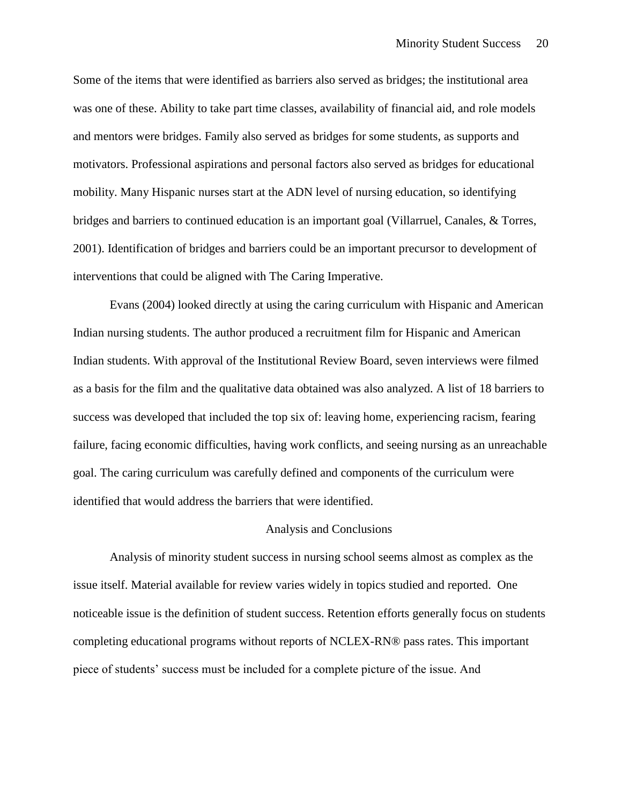Some of the items that were identified as barriers also served as bridges; the institutional area was one of these. Ability to take part time classes, availability of financial aid, and role models and mentors were bridges. Family also served as bridges for some students, as supports and motivators. Professional aspirations and personal factors also served as bridges for educational mobility. Many Hispanic nurses start at the ADN level of nursing education, so identifying bridges and barriers to continued education is an important goal (Villarruel, Canales, & Torres, 2001). Identification of bridges and barriers could be an important precursor to development of interventions that could be aligned with The Caring Imperative.

Evans (2004) looked directly at using the caring curriculum with Hispanic and American Indian nursing students. The author produced a recruitment film for Hispanic and American Indian students. With approval of the Institutional Review Board, seven interviews were filmed as a basis for the film and the qualitative data obtained was also analyzed. A list of 18 barriers to success was developed that included the top six of: leaving home, experiencing racism, fearing failure, facing economic difficulties, having work conflicts, and seeing nursing as an unreachable goal. The caring curriculum was carefully defined and components of the curriculum were identified that would address the barriers that were identified.

#### Analysis and Conclusions

Analysis of minority student success in nursing school seems almost as complex as the issue itself. Material available for review varies widely in topics studied and reported. One noticeable issue is the definition of student success. Retention efforts generally focus on students completing educational programs without reports of NCLEX-RN® pass rates. This important piece of students' success must be included for a complete picture of the issue. And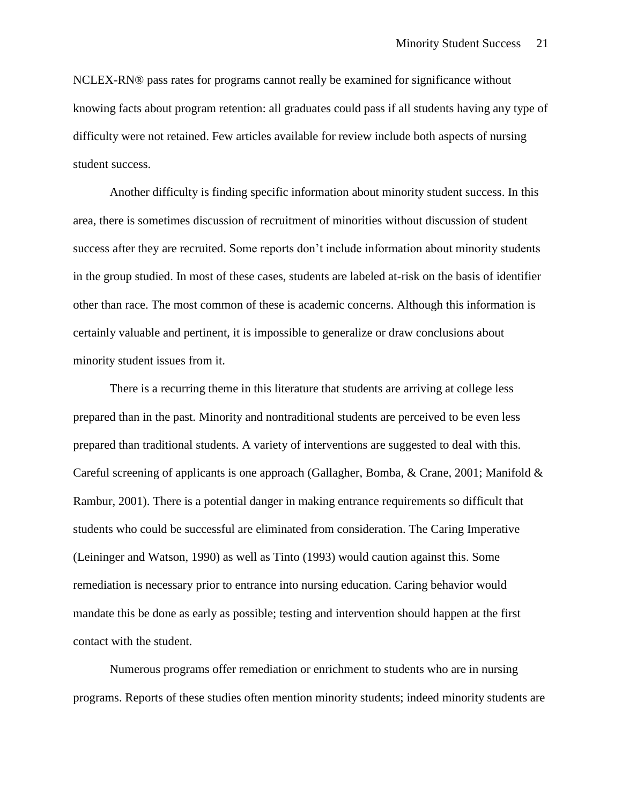NCLEX-RN® pass rates for programs cannot really be examined for significance without knowing facts about program retention: all graduates could pass if all students having any type of difficulty were not retained. Few articles available for review include both aspects of nursing student success.

Another difficulty is finding specific information about minority student success. In this area, there is sometimes discussion of recruitment of minorities without discussion of student success after they are recruited. Some reports don't include information about minority students in the group studied. In most of these cases, students are labeled at-risk on the basis of identifier other than race. The most common of these is academic concerns. Although this information is certainly valuable and pertinent, it is impossible to generalize or draw conclusions about minority student issues from it.

There is a recurring theme in this literature that students are arriving at college less prepared than in the past. Minority and nontraditional students are perceived to be even less prepared than traditional students. A variety of interventions are suggested to deal with this. Careful screening of applicants is one approach (Gallagher, Bomba, & Crane, 2001; Manifold  $\&$ Rambur, 2001). There is a potential danger in making entrance requirements so difficult that students who could be successful are eliminated from consideration. The Caring Imperative (Leininger and Watson, 1990) as well as Tinto (1993) would caution against this. Some remediation is necessary prior to entrance into nursing education. Caring behavior would mandate this be done as early as possible; testing and intervention should happen at the first contact with the student.

Numerous programs offer remediation or enrichment to students who are in nursing programs. Reports of these studies often mention minority students; indeed minority students are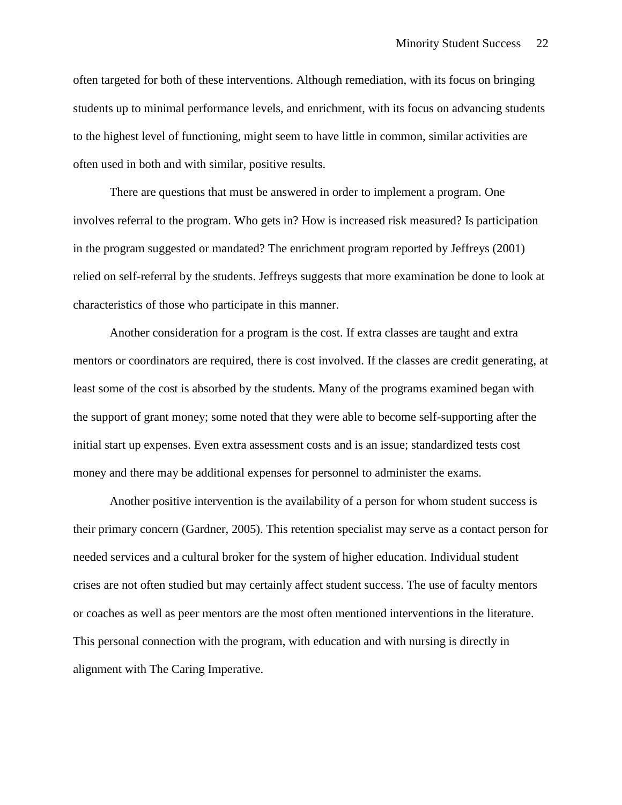often targeted for both of these interventions. Although remediation, with its focus on bringing students up to minimal performance levels, and enrichment, with its focus on advancing students to the highest level of functioning, might seem to have little in common, similar activities are often used in both and with similar, positive results.

There are questions that must be answered in order to implement a program. One involves referral to the program. Who gets in? How is increased risk measured? Is participation in the program suggested or mandated? The enrichment program reported by Jeffreys (2001) relied on self-referral by the students. Jeffreys suggests that more examination be done to look at characteristics of those who participate in this manner.

Another consideration for a program is the cost. If extra classes are taught and extra mentors or coordinators are required, there is cost involved. If the classes are credit generating, at least some of the cost is absorbed by the students. Many of the programs examined began with the support of grant money; some noted that they were able to become self-supporting after the initial start up expenses. Even extra assessment costs and is an issue; standardized tests cost money and there may be additional expenses for personnel to administer the exams.

Another positive intervention is the availability of a person for whom student success is their primary concern (Gardner, 2005). This retention specialist may serve as a contact person for needed services and a cultural broker for the system of higher education. Individual student crises are not often studied but may certainly affect student success. The use of faculty mentors or coaches as well as peer mentors are the most often mentioned interventions in the literature. This personal connection with the program, with education and with nursing is directly in alignment with The Caring Imperative.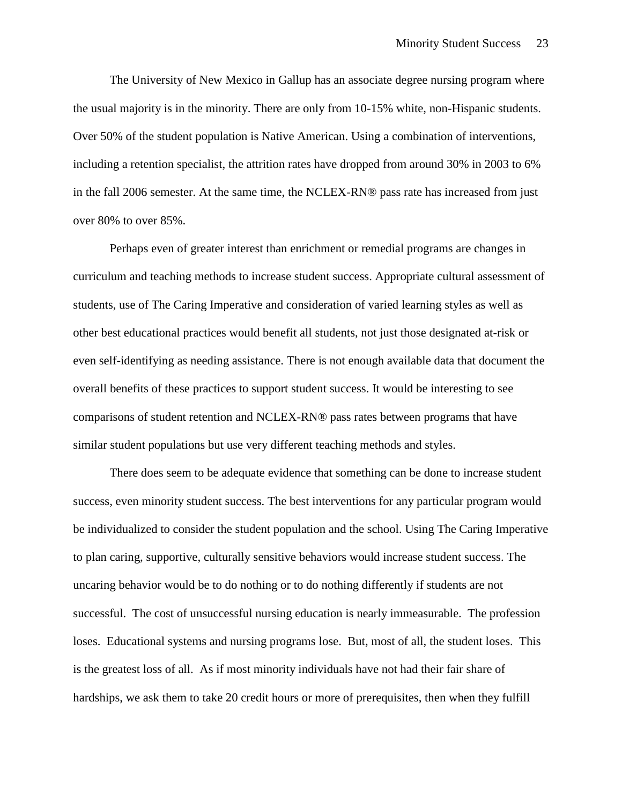The University of New Mexico in Gallup has an associate degree nursing program where the usual majority is in the minority. There are only from 10-15% white, non-Hispanic students. Over 50% of the student population is Native American. Using a combination of interventions, including a retention specialist, the attrition rates have dropped from around 30% in 2003 to 6% in the fall 2006 semester. At the same time, the NCLEX-RN® pass rate has increased from just over 80% to over 85%.

Perhaps even of greater interest than enrichment or remedial programs are changes in curriculum and teaching methods to increase student success. Appropriate cultural assessment of students, use of The Caring Imperative and consideration of varied learning styles as well as other best educational practices would benefit all students, not just those designated at-risk or even self-identifying as needing assistance. There is not enough available data that document the overall benefits of these practices to support student success. It would be interesting to see comparisons of student retention and NCLEX-RN® pass rates between programs that have similar student populations but use very different teaching methods and styles.

There does seem to be adequate evidence that something can be done to increase student success, even minority student success. The best interventions for any particular program would be individualized to consider the student population and the school. Using The Caring Imperative to plan caring, supportive, culturally sensitive behaviors would increase student success. The uncaring behavior would be to do nothing or to do nothing differently if students are not successful. The cost of unsuccessful nursing education is nearly immeasurable. The profession loses. Educational systems and nursing programs lose. But, most of all, the student loses. This is the greatest loss of all. As if most minority individuals have not had their fair share of hardships, we ask them to take 20 credit hours or more of prerequisites, then when they fulfill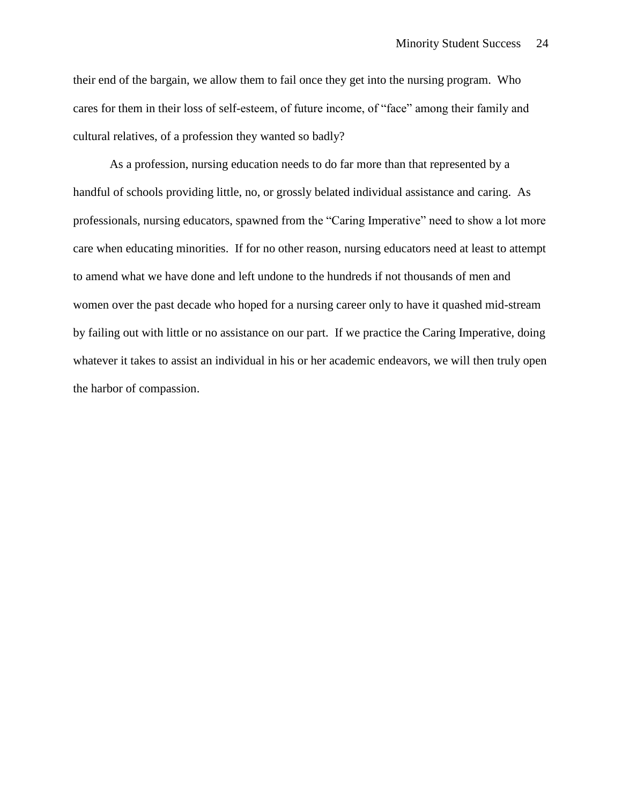their end of the bargain, we allow them to fail once they get into the nursing program. Who cares for them in their loss of self-esteem, of future income, of "face" among their family and cultural relatives, of a profession they wanted so badly?

As a profession, nursing education needs to do far more than that represented by a handful of schools providing little, no, or grossly belated individual assistance and caring. As professionals, nursing educators, spawned from the "Caring Imperative" need to show a lot more care when educating minorities. If for no other reason, nursing educators need at least to attempt to amend what we have done and left undone to the hundreds if not thousands of men and women over the past decade who hoped for a nursing career only to have it quashed mid-stream by failing out with little or no assistance on our part. If we practice the Caring Imperative, doing whatever it takes to assist an individual in his or her academic endeavors, we will then truly open the harbor of compassion.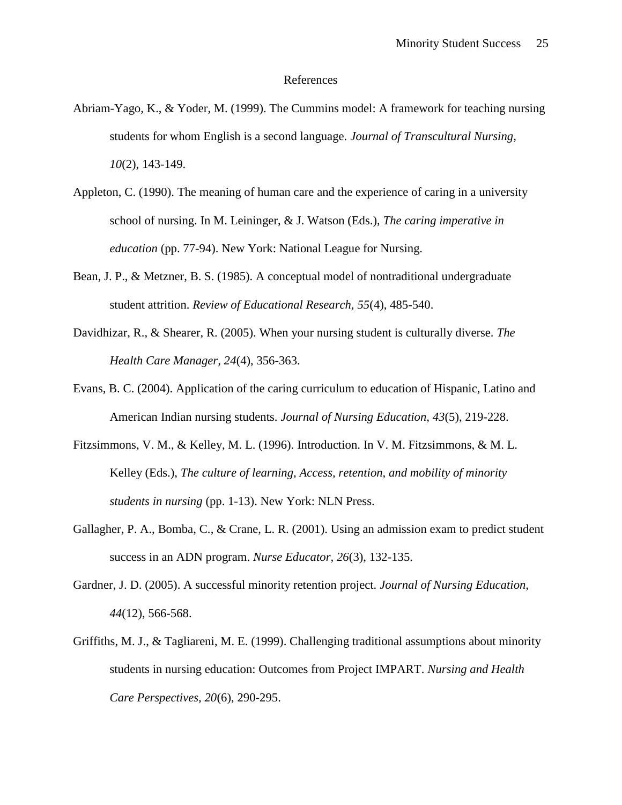#### References

- Abriam-Yago, K., & Yoder, M. (1999). The Cummins model: A framework for teaching nursing students for whom English is a second language. *Journal of Transcultural Nursing, 10*(2), 143-149.
- Appleton, C. (1990). The meaning of human care and the experience of caring in a university school of nursing. In M. Leininger, & J. Watson (Eds.), *The caring imperative in education* (pp. 77-94). New York: National League for Nursing.
- Bean, J. P., & Metzner, B. S. (1985). A conceptual model of nontraditional undergraduate student attrition. *Review of Educational Research, 55*(4), 485-540.
- Davidhizar, R., & Shearer, R. (2005). When your nursing student is culturally diverse. *The Health Care Manager, 24*(4), 356-363.
- Evans, B. C. (2004). Application of the caring curriculum to education of Hispanic, Latino and American Indian nursing students. *Journal of Nursing Education, 43*(5), 219-228.
- Fitzsimmons, V. M., & Kelley, M. L. (1996). Introduction. In V. M. Fitzsimmons, & M. L. Kelley (Eds.), *The culture of learning, Access, retention, and mobility of minority students in nursing* (pp. 1-13). New York: NLN Press.
- Gallagher, P. A., Bomba, C., & Crane, L. R. (2001). Using an admission exam to predict student success in an ADN program. *Nurse Educator, 26*(3), 132-135.
- Gardner, J. D. (2005). A successful minority retention project. *Journal of Nursing Education, 44*(12), 566-568.
- Griffiths, M. J., & Tagliareni, M. E. (1999). Challenging traditional assumptions about minority students in nursing education: Outcomes from Project IMPART. *Nursing and Health Care Perspectives, 20*(6), 290-295.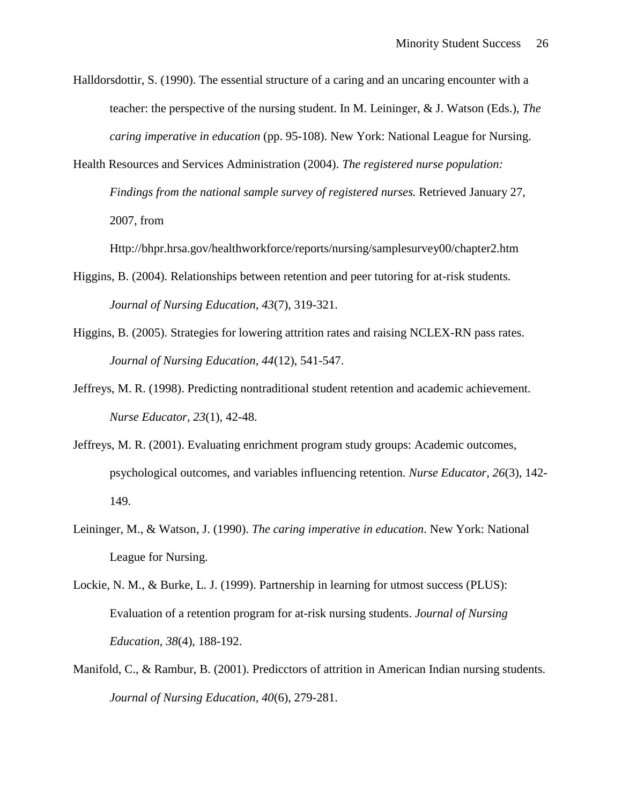Halldorsdottir, S. (1990). The essential structure of a caring and an uncaring encounter with a teacher: the perspective of the nursing student. In M. Leininger, & J. Watson (Eds.), *The caring imperative in education* (pp. 95-108). New York: National League for Nursing.

Health Resources and Services Administration (2004). *The registered nurse population: Findings from the national sample survey of registered nurses.* Retrieved January 27, 2007, from

Http://bhpr.hrsa.gov/healthworkforce/reports/nursing/samplesurvey00/chapter2.htm

- Higgins, B. (2004). Relationships between retention and peer tutoring for at-risk students. *Journal of Nursing Education, 43*(7), 319-321.
- Higgins, B. (2005). Strategies for lowering attrition rates and raising NCLEX-RN pass rates. *Journal of Nursing Education, 44*(12), 541-547.
- Jeffreys, M. R. (1998). Predicting nontraditional student retention and academic achievement. *Nurse Educator, 23*(1), 42-48.
- Jeffreys, M. R. (2001). Evaluating enrichment program study groups: Academic outcomes, psychological outcomes, and variables influencing retention. *Nurse Educator, 26*(3), 142- 149.
- Leininger, M., & Watson, J. (1990). *The caring imperative in education*. New York: National League for Nursing.
- Lockie, N. M., & Burke, L. J. (1999). Partnership in learning for utmost success (PLUS): Evaluation of a retention program for at-risk nursing students. *Journal of Nursing Education, 38*(4), 188-192.
- Manifold, C., & Rambur, B. (2001). Predicctors of attrition in American Indian nursing students. *Journal of Nursing Education, 40*(6), 279-281.